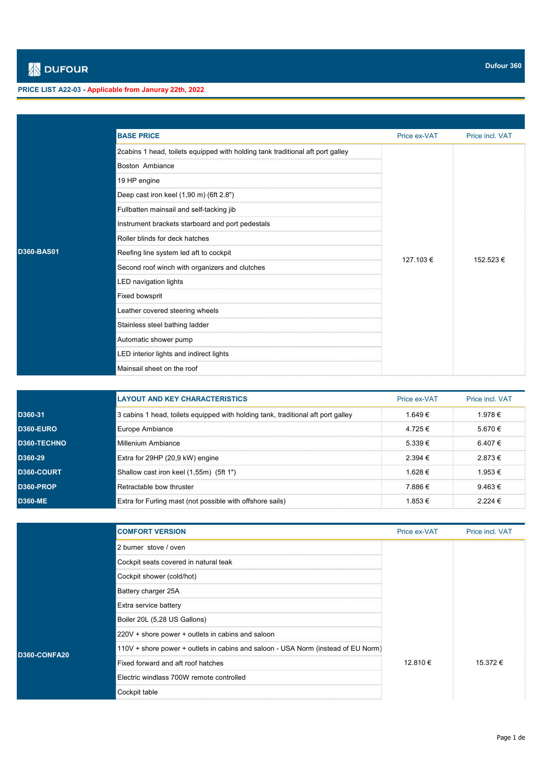## **PRICE LIST A22-03 - Applicable from Januray 22th, 2022**

|                   | <b>BASE PRICE</b>                                                              | Price ex-VAT | Price incl. VAT |
|-------------------|--------------------------------------------------------------------------------|--------------|-----------------|
|                   | 2cabins 1 head, toilets equipped with holding tank traditional aft port galley |              |                 |
|                   | Boston Ambiance                                                                |              |                 |
|                   | 19 HP engine                                                                   |              |                 |
|                   | Deep cast iron keel (1,90 m) (6ft 2.8")                                        |              |                 |
|                   | Fullbatten mainsail and self-tacking jib                                       |              |                 |
|                   | Instrument brackets starboard and port pedestals                               |              |                 |
|                   | Roller blinds for deck hatches                                                 |              | 152.523€        |
| <b>D360-BAS01</b> | Reefing line system led aft to cockpit                                         | 127.103 €    |                 |
|                   | Second roof winch with organizers and clutches                                 |              |                 |
|                   | LED navigation lights                                                          |              |                 |
|                   | <b>Fixed bowsprit</b>                                                          |              |                 |
|                   | Leather covered steering wheels                                                |              |                 |
|                   | Stainless steel bathing ladder                                                 |              |                 |
|                   | Automatic shower pump                                                          |              |                 |
|                   | LED interior lights and indirect lights                                        |              |                 |
|                   | Mainsail sheet on the roof                                                     |              |                 |

|                    | <b>LAYOUT AND KEY CHARACTERISTICS</b>                                            | Price ex-VAT    | Price incl VAT |
|--------------------|----------------------------------------------------------------------------------|-----------------|----------------|
| D360-31.           | 3 cabins 1 head, toilets equipped with holding tank, traditional aft port galley | 1 649 €         | 1.978 €        |
| <b>D360-EURO</b>   | Europe Ambiance                                                                  | 4.725€          | 5.670€         |
| <b>D360-TECHNO</b> | ็iMillenium Ambiance                                                             | $5.339 \in$     | 6.407 €        |
| D360-29            | Extra for 29HP (20,9 kW) engine                                                  | 2.394 €         | 2.873€         |
| <b>D360-COURT</b>  | Shallow cast iron keel (1,55m) (5ft 1")                                          | 1628 $\epsilon$ | 1.953€         |
| D360-PROP          | Retractable bow thruster                                                         | 7 886 €         | $9.463 \in$    |
| <b>D360-ME</b>     | Extra for Furling mast (not possible with offshore sails)                        | 1 853 €         | $2224 \in$     |

|                     | <b>COMFORT VERSION</b>                                                             | Price ex-VAT | Price incl. VAT |
|---------------------|------------------------------------------------------------------------------------|--------------|-----------------|
|                     | 2 burner stove / oven                                                              |              |                 |
|                     | Cockpit seats covered in natural teak                                              |              |                 |
|                     | Cockpit shower (cold/hot)                                                          |              |                 |
|                     | Battery charger 25A                                                                |              |                 |
|                     | Extra service battery                                                              |              |                 |
|                     | Boiler 20L (5,28 US Gallons)                                                       | 12.810€      | 15.372€         |
|                     | 220V + shore power + outlets in cabins and saloon                                  |              |                 |
| <b>D360-CONFA20</b> | [110V + shore power + outlets in cabins and saloon - USA Norm (instead of EU Norm) |              |                 |
|                     | Fixed forward and aft roof hatches                                                 |              |                 |
|                     | Electric windlass 700W remote controlled                                           |              |                 |
|                     | Cockpit table                                                                      |              |                 |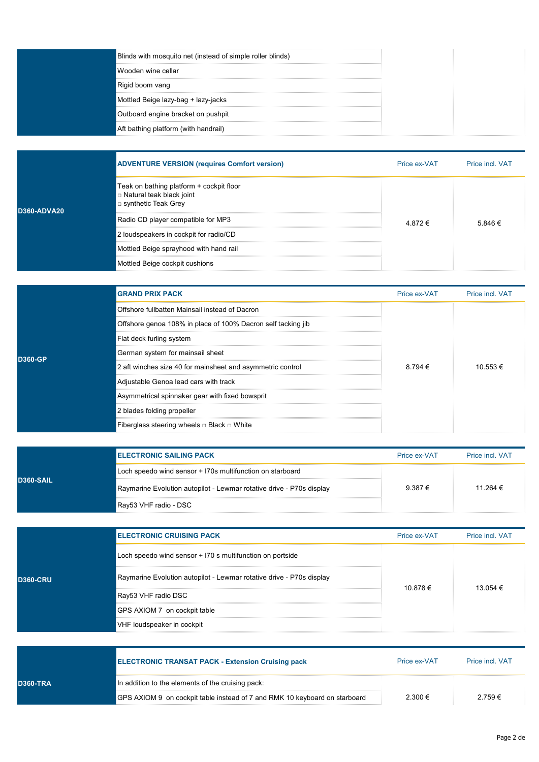| Blinds with mosquito net (instead of simple roller blinds) |  |
|------------------------------------------------------------|--|
| ंWooden wine cellar                                        |  |
| Rigid boom vang                                            |  |
| Mottled Beige lazy-bag + lazy-jacks                        |  |
| Outboard engine bracket on pushpit                         |  |
| Aft bathing platform (with handrail)                       |  |

|             | <b>ADVENTURE VERSION (requires Comfort version)</b>                                             | Price ex-VAT | Price incl. VAT |
|-------------|-------------------------------------------------------------------------------------------------|--------------|-----------------|
| D360-ADVA20 | Teak on bathing platform + cockpit floor<br>□ Natural teak black joint<br>□ synthetic Teak Grey |              | 5.846 €         |
|             | Radio CD player compatible for MP3                                                              | 4 872 €      |                 |
|             | 2 loudspeakers in cockpit for radio/CD                                                          |              |                 |
|             | Mottled Beige sprayhood with hand rail                                                          |              |                 |
|             | Mottled Beige cockpit cushions                                                                  |              |                 |

|         | <b>GRAND PRIX PACK</b>                                       | Price ex-VAT | Price incl. VAT |
|---------|--------------------------------------------------------------|--------------|-----------------|
|         | Offshore fullbatten Mainsail instead of Dacron               |              | $10.553 \in$    |
|         | Offshore genoa 108% in place of 100% Dacron self tacking jib |              |                 |
|         | Flat deck furling system                                     |              |                 |
| D360-GP | German system for mainsail sheet                             |              |                 |
|         | 2 aft winches size 40 for mainsheet and asymmetric control   | $8.794 \in$  |                 |
|         | Adjustable Genoa lead cars with track                        |              |                 |
|         | Asymmetrical spinnaker gear with fixed bowsprit              |              |                 |
|         | 2 blades folding propeller                                   |              |                 |
|         | Fiberglass steering wheels □ Black □ White                   |              |                 |

| <b>D360-SAIL</b> | <b>IELECTRONIC SAILING PACK</b>                                       | Price ex-VAT | <b>Price incl. VAT</b> |
|------------------|-----------------------------------------------------------------------|--------------|------------------------|
|                  | Loch speedo wind sensor + I70s multifunction on starboard             |              |                        |
|                  | Raymarine Evolution autopilot - Lewmar rotative drive - P70s display≱ | $9.387 \in$  | 11 264 €               |
|                  | ¶Ray53 VHF radio - DSC                                                |              |                        |

| <b>D360-CRU</b> | <b>IELECTRONIC CRUISING PACK</b>                                     | Price ex-VAT | Price incl. VAT |
|-----------------|----------------------------------------------------------------------|--------------|-----------------|
|                 | Loch speedo wind sensor + I70 s multifunction on portside            |              | 13 054 €        |
|                 | Raymarine Evolution autopilot - Lewmar rotative drive - P70s display |              |                 |
|                 | Ray53 VHF radio DSC                                                  | 10.878€      |                 |
|                 | GPS AXIOM 7 on cockpit table                                         |              |                 |
|                 | VHF loudspeaker in cockpit                                           |              |                 |

|                 | <b>ELECTRONIC TRANSAT PACK - Extension Cruising pack</b>                   | Price ex-VAT | Price incl VAT |
|-----------------|----------------------------------------------------------------------------|--------------|----------------|
| <b>D360-TRA</b> | In addition to the elements of the cruising pack:                          |              |                |
|                 | GPS AXIOM 9 on cockpit table instead of 7 and RMK 10 keyboard on starboard | $2.300 \in$  | $2.759 \in$    |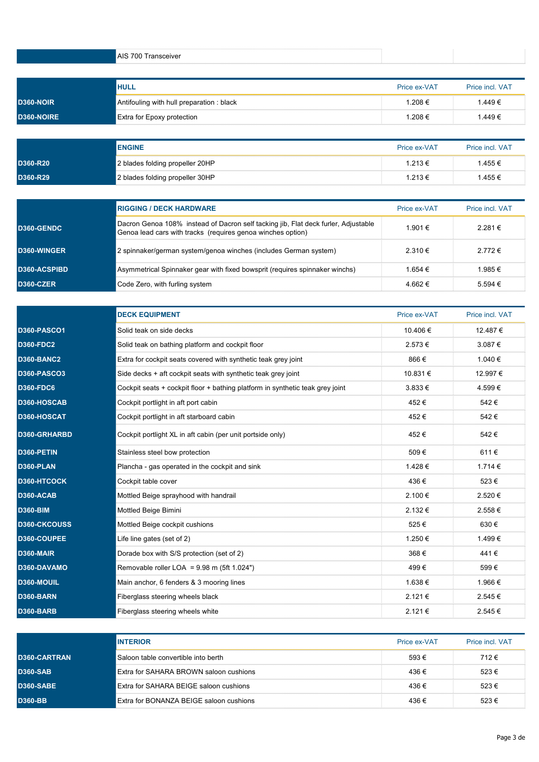|                  | AIS 700 Transceiver                                |                        |                           |
|------------------|----------------------------------------------------|------------------------|---------------------------|
|                  |                                                    |                        |                           |
| <b>D360-NOIR</b> | IHULL<br>Antifouling with hull preparation : black | Price ex-VAT<br>1.208€ | Price incl. VAT<br>1.449€ |
| D360-NOIRE       | <b>Extra for Epoxy protection</b>                  | 1.208€                 | 1.449€                    |

|          | <b>ENGINE</b>                   | Price ex-VAT | <b>Price incl. VAT</b> |
|----------|---------------------------------|--------------|------------------------|
| D360-R20 | 2 blades folding propeller 20HP | 1.213 €      | .455 €                 |
| D360-R29 | 2 blades folding propeller 30HP | 1.213 €      | .455 €                 |

|                     | <b>RIGGING / DECK HARDWARE</b>                                                                                                                    | Price ex-VAT | <b>Price incl VAT</b> |
|---------------------|---------------------------------------------------------------------------------------------------------------------------------------------------|--------------|-----------------------|
| <b>D360-GENDC</b>   | Dacron Genoa 108% instead of Dacron self tacking jib, Flat deck furler, Adjustable<br>Genoa lead cars with tracks (requires genoa winches option) | 1.901 €      | $2281 \in$            |
| D360-WINGER         | 2 spinnaker/german system/genoa winches (includes German system)                                                                                  | $2.310 \in$  | 2 772 €               |
| <b>D360-ACSPIBD</b> | Asymmetrical Spinnaker gear with fixed bowsprit (requires spinnaker winchs)                                                                       | 1 654 €      | 1.985€                |
| <b>D360-CZER</b>    | Code Zero, with furling system                                                                                                                    | 4.662 $\in$  | $5,594 \in$           |

|                    | <b>DECK EQUIPMENT</b>                                                         | Price ex-VAT | Price incl. VAT |
|--------------------|-------------------------------------------------------------------------------|--------------|-----------------|
| <b>D360-PASCO1</b> | Solid teak on side decks                                                      | 10.406 €     | 12.487€         |
| <b>D360-FDC2</b>   | Solid teak on bathing platform and cockpit floor                              | 2.573€       | $3.087 \in$     |
| <b>D360-BANC2</b>  | Extra for cockpit seats covered with synthetic teak grey joint                | 866€         | 1.040 €         |
| <b>D360-PASCO3</b> | Side decks + aft cockpit seats with synthetic teak grey joint                 | 10.831 €     | 12.997€         |
| <b>D360-FDC6</b>   | Cockpit seats + cockpit floor + bathing platform in synthetic teak grey joint | $3.833 \in$  | 4.599€          |
| D360-HOSCAB        | Cockpit portlight in aft port cabin                                           | 452€         | 542€            |
| D360-HOSCAT        | Cockpit portlight in aft starboard cabin                                      | 452€         | 542€            |
| D360-GRHARBD       | Cockpit portlight XL in aft cabin (per unit portside only)                    | 452€         | 542€            |
| D360-PETIN         | Stainless steel bow protection                                                | 509€         | 611€            |
| D360-PLAN          | Plancha - gas operated in the cockpit and sink                                | 1.428€       | 1.714 €         |
| D360-HTCOCK        | Cockpit table cover                                                           | 436€         | 523€            |
| D360-ACAB          | Mottled Beige sprayhood with handrail                                         | $2.100 \in$  | 2.520€          |
| <b>D360-BIM</b>    | Mottled Beige Bimini                                                          | $2.132 \in$  | 2.558€          |
| D360-CKCOUSS       | Mottled Beige cockpit cushions                                                | 525€         | 630€            |
| D360-COUPEE        | Life line gates (set of 2)                                                    | 1.250€       | 1.499€          |
| <b>D360-MAIR</b>   | Dorade box with S/S protection (set of 2)                                     | 368€         | 441€            |
| D360-DAVAMO        | Removable roller LOA = $9.98$ m (5ft 1.024")                                  | 499€         | 599€            |
| D360-MOUIL         | Main anchor, 6 fenders & 3 mooring lines                                      | 1.638 €      | 1.966 €         |
| D360-BARN          | Fiberglass steering wheels black                                              | $2.121 \in$  | 2.545 €         |
| <b>D360-BARB</b>   | Fiberglass steering wheels white                                              | $2.121 \in$  | 2.545€          |

|                     | <b>INTERIOR</b>                         | Price ex-VAT | <b>Price incl VAT</b> |
|---------------------|-----------------------------------------|--------------|-----------------------|
| <b>D360-CARTRAN</b> | liSaloon table convertible into berth   | $593 \in$    | 712 €                 |
| <b>D360-SAB</b>     | Extra for SAHARA BROWN saloon cushions  | 436€         | 523€                  |
| <b>D360-SABE</b>    | Extra for SAHARA BEIGE saloon cushions  | 436€         | 523€                  |
| <b>D360-BB</b>      | Extra for BONANZA BEIGE saloon cushions | 436€         | $523 \in$             |